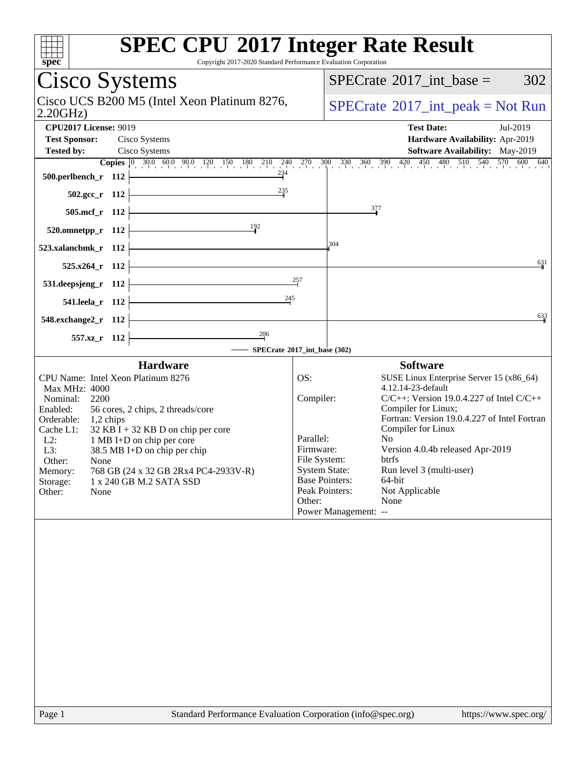| <b>SPEC CPU®2017 Integer Rate Result</b><br>$\overline{\text{spec}^*}$<br>Copyright 2017-2020 Standard Performance Evaluation Corporation |                           |                                                    |                                                                     |
|-------------------------------------------------------------------------------------------------------------------------------------------|---------------------------|----------------------------------------------------|---------------------------------------------------------------------|
| Cisco Systems                                                                                                                             |                           | 302<br>$SPECrate^{\circledast}2017\_int\_base =$   |                                                                     |
| Cisco UCS B200 M5 (Intel Xeon Platinum 8276,<br>2.20GHz                                                                                   |                           | $SPECrate^{\circledcirc}2017\_int\_peak = Not Run$ |                                                                     |
| <b>CPU2017 License: 9019</b>                                                                                                              |                           |                                                    | <b>Test Date:</b><br>Jul-2019                                       |
| <b>Test Sponsor:</b><br>Cisco Systems<br><b>Tested by:</b><br>Cisco Systems                                                               |                           |                                                    | Hardware Availability: Apr-2019<br>Software Availability: May-2019  |
| <b>Copies</b> 0 30.0 60.0 90.0 120 150 180 210 240 270 300 330 360 390 420 450 480 510 540 570 600 640                                    |                           |                                                    |                                                                     |
| $\frac{234}{7}$<br>500.perlbench_r 112                                                                                                    |                           |                                                    |                                                                     |
| $\frac{235}{4}$<br>$502.\text{sec}_r$ 112                                                                                                 |                           |                                                    |                                                                     |
| 505.mcf_r 112                                                                                                                             |                           | $\frac{377}{2}$                                    |                                                                     |
| $\frac{192}{2}$<br>$520.0$ mnetpp_r 112                                                                                                   |                           |                                                    |                                                                     |
| 523.xalancbmk_r 112                                                                                                                       |                           | 304                                                |                                                                     |
| $525.x264_r$ 112                                                                                                                          |                           |                                                    | $6\frac{3}{1}1$                                                     |
| <u> 1989 - Johann Barn, mars ann an t-</u><br>531.deepsjeng_r 112                                                                         | 257                       |                                                    |                                                                     |
| $\overline{\phantom{a}}$ . The contract of $\overline{\phantom{a}}$<br>541.leela_r 112                                                    | $\frac{245}{1}$           |                                                    |                                                                     |
|                                                                                                                                           |                           |                                                    | 633                                                                 |
| 548.exchange $2\degree$ r 112<br>$\frac{206}{ }$                                                                                          |                           |                                                    |                                                                     |
| 557.xz_r 112<br>- SPECrate®2017_int_base (302)                                                                                            |                           |                                                    |                                                                     |
| <b>Hardware</b>                                                                                                                           |                           |                                                    | <b>Software</b>                                                     |
| CPU Name: Intel Xeon Platinum 8276                                                                                                        | OS:                       |                                                    | SUSE Linux Enterprise Server 15 (x86_64)                            |
| Max MHz: 4000<br>Nominal:<br>2200                                                                                                         | Compiler:                 |                                                    | 4.12.14-23-default<br>$C/C++$ : Version 19.0.4.227 of Intel $C/C++$ |
| Enabled:<br>56 cores, 2 chips, 2 threads/core                                                                                             |                           |                                                    | Compiler for Linux;                                                 |
| Orderable:<br>$1,2$ chips<br>$32$ KB I + 32 KB D on chip per core<br>Cache L1:                                                            |                           |                                                    | Fortran: Version 19.0.4.227 of Intel Fortran<br>Compiler for Linux  |
| $L2$ :<br>1 MB I+D on chip per core                                                                                                       | Parallel:                 |                                                    | No                                                                  |
| L3:<br>38.5 MB I+D on chip per chip<br>Other:<br>None                                                                                     | Firmware:<br>File System: |                                                    | Version 4.0.4b released Apr-2019<br>btrfs                           |
| 768 GB (24 x 32 GB 2Rx4 PC4-2933V-R)<br>Memory:                                                                                           | <b>System State:</b>      |                                                    | Run level 3 (multi-user)                                            |
| Storage:<br>1 x 240 GB M.2 SATA SSD<br>Other:<br>None                                                                                     |                           | <b>Base Pointers:</b><br>Peak Pointers:            | 64-bit<br>Not Applicable                                            |
|                                                                                                                                           | Other:                    |                                                    | None                                                                |
|                                                                                                                                           |                           | Power Management: --                               |                                                                     |
|                                                                                                                                           |                           |                                                    |                                                                     |
| Standard Performance Evaluation Corporation (info@spec.org)<br>Page 1                                                                     |                           |                                                    | https://www.spec.org/                                               |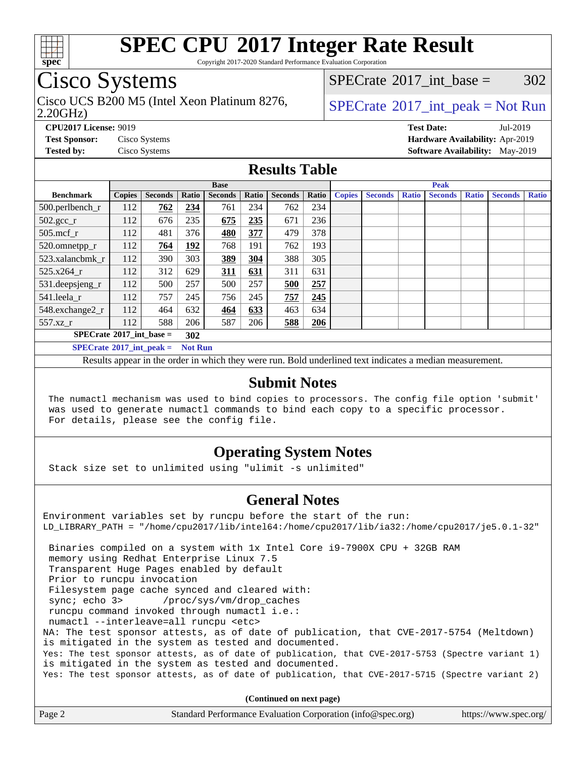

Copyright 2017-2020 Standard Performance Evaluation Corporation

# Cisco Systems

2.20GHz) Cisco UCS B200 M5 (Intel Xeon Platinum 8276,  $SPECrate^{\circ}2017\_int\_peak = Not Run$  $SPECrate^{\circ}2017\_int\_peak = Not Run$ 

[SPECrate](http://www.spec.org/auto/cpu2017/Docs/result-fields.html#SPECrate2017intbase)<sup>®</sup>2017 int base =  $302$ 

**[CPU2017 License:](http://www.spec.org/auto/cpu2017/Docs/result-fields.html#CPU2017License)** 9019 **[Test Date:](http://www.spec.org/auto/cpu2017/Docs/result-fields.html#TestDate)** Jul-2019 **[Test Sponsor:](http://www.spec.org/auto/cpu2017/Docs/result-fields.html#TestSponsor)** Cisco Systems **[Hardware Availability:](http://www.spec.org/auto/cpu2017/Docs/result-fields.html#HardwareAvailability)** Apr-2019 **[Tested by:](http://www.spec.org/auto/cpu2017/Docs/result-fields.html#Testedby)** Cisco Systems **[Software Availability:](http://www.spec.org/auto/cpu2017/Docs/result-fields.html#SoftwareAvailability)** May-2019

#### **[Results Table](http://www.spec.org/auto/cpu2017/Docs/result-fields.html#ResultsTable)**

|                                                     | <b>Base</b>                              |                |       |                | <b>Peak</b> |                |       |               |                |              |                |              |                |              |
|-----------------------------------------------------|------------------------------------------|----------------|-------|----------------|-------------|----------------|-------|---------------|----------------|--------------|----------------|--------------|----------------|--------------|
| <b>Benchmark</b>                                    | <b>Copies</b>                            | <b>Seconds</b> | Ratio | <b>Seconds</b> | Ratio       | <b>Seconds</b> | Ratio | <b>Copies</b> | <b>Seconds</b> | <b>Ratio</b> | <b>Seconds</b> | <b>Ratio</b> | <b>Seconds</b> | <b>Ratio</b> |
| 500.perlbench_r                                     | 112                                      | 762            | 234   | 761            | 234         | 762            | 234   |               |                |              |                |              |                |              |
| $502.\text{gcc}_r$                                  | 112                                      | 676            | 235   | 675            | 235         | 671            | 236   |               |                |              |                |              |                |              |
| $505$ .mcf r                                        | 112                                      | 481            | 376   | 480            | 377         | 479            | 378   |               |                |              |                |              |                |              |
| 520.omnetpp_r                                       | 112                                      | 764            | 192   | 768            | 191         | 762            | 193   |               |                |              |                |              |                |              |
| 523.xalancbmk r                                     | 112                                      | 390            | 303   | 389            | 304         | 388            | 305   |               |                |              |                |              |                |              |
| 525.x264 r                                          | 112                                      | 312            | 629   | 311            | 631         | 311            | 631   |               |                |              |                |              |                |              |
| 531.deepsjeng_r                                     | 112                                      | 500            | 257   | 500            | 257         | 500            | 257   |               |                |              |                |              |                |              |
| 541.leela r                                         | 112                                      | 757            | 245   | 756            | 245         | 757            | 245   |               |                |              |                |              |                |              |
| 548.exchange2_r                                     | 112                                      | 464            | 632   | 464            | 633         | 463            | 634   |               |                |              |                |              |                |              |
| 557.xz r                                            | 112                                      | 588            | 206   | 587            | 206         | 588            | 206   |               |                |              |                |              |                |              |
|                                                     | $SPECrate^{\circ}2017$ int base =<br>302 |                |       |                |             |                |       |               |                |              |                |              |                |              |
| $SPECrate^{\circ}2017$ int peak =<br><b>Not Run</b> |                                          |                |       |                |             |                |       |               |                |              |                |              |                |              |

Results appear in the [order in which they were run](http://www.spec.org/auto/cpu2017/Docs/result-fields.html#RunOrder). Bold underlined text [indicates a median measurement](http://www.spec.org/auto/cpu2017/Docs/result-fields.html#Median).

#### **[Submit Notes](http://www.spec.org/auto/cpu2017/Docs/result-fields.html#SubmitNotes)**

 The numactl mechanism was used to bind copies to processors. The config file option 'submit' was used to generate numactl commands to bind each copy to a specific processor. For details, please see the config file.

### **[Operating System Notes](http://www.spec.org/auto/cpu2017/Docs/result-fields.html#OperatingSystemNotes)**

Stack size set to unlimited using "ulimit -s unlimited"

#### **[General Notes](http://www.spec.org/auto/cpu2017/Docs/result-fields.html#GeneralNotes)**

Environment variables set by runcpu before the start of the run: LD\_LIBRARY\_PATH = "/home/cpu2017/lib/intel64:/home/cpu2017/lib/ia32:/home/cpu2017/je5.0.1-32" Binaries compiled on a system with 1x Intel Core i9-7900X CPU + 32GB RAM memory using Redhat Enterprise Linux 7.5 Transparent Huge Pages enabled by default Prior to runcpu invocation Filesystem page cache synced and cleared with: sync; echo 3> /proc/sys/vm/drop\_caches runcpu command invoked through numactl i.e.: numactl --interleave=all runcpu <etc> NA: The test sponsor attests, as of date of publication, that CVE-2017-5754 (Meltdown) is mitigated in the system as tested and documented. Yes: The test sponsor attests, as of date of publication, that CVE-2017-5753 (Spectre variant 1) is mitigated in the system as tested and documented. Yes: The test sponsor attests, as of date of publication, that CVE-2017-5715 (Spectre variant 2)

**(Continued on next page)**

|--|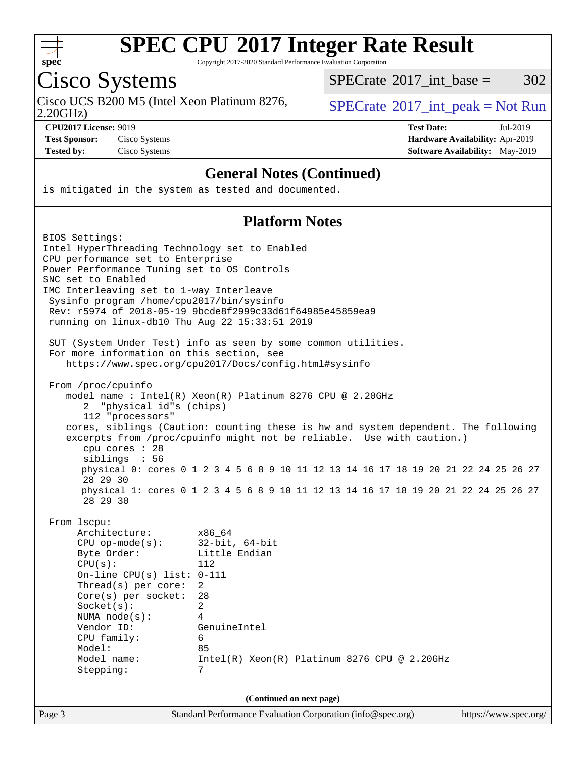

Copyright 2017-2020 Standard Performance Evaluation Corporation

Cisco Systems<br>Cisco UCS B200 M5 (Intel Xeon Platinum 8276,

 $SPECTate@2017\_int\_base = 302$ 

2.20GHz)

 $SPECTate$ <sup>®</sup>[2017\\_int\\_peak = N](http://www.spec.org/auto/cpu2017/Docs/result-fields.html#SPECrate2017intpeak)ot Run

**[CPU2017 License:](http://www.spec.org/auto/cpu2017/Docs/result-fields.html#CPU2017License)** 9019 **[Test Date:](http://www.spec.org/auto/cpu2017/Docs/result-fields.html#TestDate)** Jul-2019 **[Test Sponsor:](http://www.spec.org/auto/cpu2017/Docs/result-fields.html#TestSponsor)** Cisco Systems **[Hardware Availability:](http://www.spec.org/auto/cpu2017/Docs/result-fields.html#HardwareAvailability)** Apr-2019 **[Tested by:](http://www.spec.org/auto/cpu2017/Docs/result-fields.html#Testedby)** Cisco Systems **[Software Availability:](http://www.spec.org/auto/cpu2017/Docs/result-fields.html#SoftwareAvailability)** May-2019

#### **[General Notes \(Continued\)](http://www.spec.org/auto/cpu2017/Docs/result-fields.html#GeneralNotes)**

is mitigated in the system as tested and documented.

### **[Platform Notes](http://www.spec.org/auto/cpu2017/Docs/result-fields.html#PlatformNotes)**

| BIOS Settings:                                 |                                                                                     |                       |  |  |  |
|------------------------------------------------|-------------------------------------------------------------------------------------|-----------------------|--|--|--|
| Intel HyperThreading Technology set to Enabled |                                                                                     |                       |  |  |  |
| CPU performance set to Enterprise              |                                                                                     |                       |  |  |  |
| Power Performance Tuning set to OS Controls    |                                                                                     |                       |  |  |  |
| SNC set to Enabled                             |                                                                                     |                       |  |  |  |
| IMC Interleaving set to 1-way Interleave       |                                                                                     |                       |  |  |  |
| Sysinfo program /home/cpu2017/bin/sysinfo      |                                                                                     |                       |  |  |  |
| running on linux-db10 Thu Aug 22 15:33:51 2019 | Rev: r5974 of 2018-05-19 9bcde8f2999c33d61f64985e45859ea9                           |                       |  |  |  |
|                                                |                                                                                     |                       |  |  |  |
|                                                | SUT (System Under Test) info as seen by some common utilities.                      |                       |  |  |  |
| For more information on this section, see      |                                                                                     |                       |  |  |  |
|                                                | https://www.spec.org/cpu2017/Docs/config.html#sysinfo                               |                       |  |  |  |
| From /proc/cpuinfo                             |                                                                                     |                       |  |  |  |
|                                                | model name : Intel(R) Xeon(R) Platinum 8276 CPU @ 2.20GHz                           |                       |  |  |  |
| "physical id"s (chips)<br>2                    |                                                                                     |                       |  |  |  |
| 112 "processors"                               |                                                                                     |                       |  |  |  |
|                                                | cores, siblings (Caution: counting these is hw and system dependent. The following  |                       |  |  |  |
|                                                | excerpts from /proc/cpuinfo might not be reliable. Use with caution.)               |                       |  |  |  |
| cpu cores $: 28$<br>siblings : 56              |                                                                                     |                       |  |  |  |
|                                                | physical 0: cores 0 1 2 3 4 5 6 8 9 10 11 12 13 14 16 17 18 19 20 21 22 24 25 26 27 |                       |  |  |  |
| 28 29 30                                       |                                                                                     |                       |  |  |  |
|                                                | physical 1: cores 0 1 2 3 4 5 6 8 9 10 11 12 13 14 16 17 18 19 20 21 22 24 25 26 27 |                       |  |  |  |
| 28 29 30                                       |                                                                                     |                       |  |  |  |
| From 1scpu:                                    |                                                                                     |                       |  |  |  |
| Architecture:                                  | x86 64                                                                              |                       |  |  |  |
| $CPU op-mode(s):$                              | $32$ -bit, $64$ -bit                                                                |                       |  |  |  |
| Byte Order:                                    | Little Endian                                                                       |                       |  |  |  |
| CPU(s):                                        | 112                                                                                 |                       |  |  |  |
| On-line CPU(s) list: $0-111$                   |                                                                                     |                       |  |  |  |
| Thread(s) per core:                            | $\overline{2}$                                                                      |                       |  |  |  |
| $Core(s)$ per socket:                          | 28                                                                                  |                       |  |  |  |
| Socket(s):                                     | $\overline{2}$                                                                      |                       |  |  |  |
| NUMA $node(s):$                                | 4                                                                                   |                       |  |  |  |
| Vendor ID:                                     | GenuineIntel                                                                        |                       |  |  |  |
| CPU family:<br>Model:                          | 6<br>85                                                                             |                       |  |  |  |
| Model name:                                    | $Intel(R)$ Xeon $(R)$ Platinum 8276 CPU @ 2.20GHz                                   |                       |  |  |  |
| Stepping:                                      | 7                                                                                   |                       |  |  |  |
|                                                |                                                                                     |                       |  |  |  |
| (Continued on next page)                       |                                                                                     |                       |  |  |  |
| Page 3                                         | Standard Performance Evaluation Corporation (info@spec.org)                         | https://www.spec.org/ |  |  |  |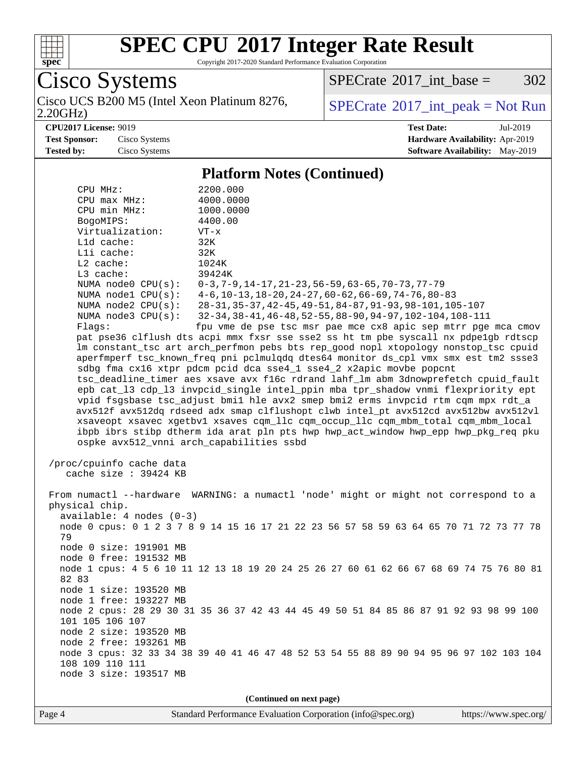

Copyright 2017-2020 Standard Performance Evaluation Corporation

Cisco Systems<br>Cisco UCS B200 M5 (Intel Xeon Platinum 8276,

2.20GHz)

 $SPECTate@2017_int\_base = 302$ 

 $SPECTate<sup>®</sup>2017_int_p [peak = Not Run]$ 

**[CPU2017 License:](http://www.spec.org/auto/cpu2017/Docs/result-fields.html#CPU2017License)** 9019 **[Test Date:](http://www.spec.org/auto/cpu2017/Docs/result-fields.html#TestDate)** Jul-2019 **[Test Sponsor:](http://www.spec.org/auto/cpu2017/Docs/result-fields.html#TestSponsor)** Cisco Systems **[Hardware Availability:](http://www.spec.org/auto/cpu2017/Docs/result-fields.html#HardwareAvailability)** Apr-2019 **[Tested by:](http://www.spec.org/auto/cpu2017/Docs/result-fields.html#Testedby)** Cisco Systems **[Software Availability:](http://www.spec.org/auto/cpu2017/Docs/result-fields.html#SoftwareAvailability)** May-2019

#### **[Platform Notes \(Continued\)](http://www.spec.org/auto/cpu2017/Docs/result-fields.html#PlatformNotes)**

| CPU MHz:                   | 2200.000                                                                                                                                                               |  |  |  |  |  |  |  |
|----------------------------|------------------------------------------------------------------------------------------------------------------------------------------------------------------------|--|--|--|--|--|--|--|
| CPU max MHz:               | 4000.0000                                                                                                                                                              |  |  |  |  |  |  |  |
| CPU min MHz:               | 1000.0000                                                                                                                                                              |  |  |  |  |  |  |  |
| BogoMIPS:                  | 4400.00                                                                                                                                                                |  |  |  |  |  |  |  |
| Virtualization:            | $VT - x$                                                                                                                                                               |  |  |  |  |  |  |  |
| L1d cache:                 | 32K                                                                                                                                                                    |  |  |  |  |  |  |  |
| Lli cache:                 | 32K                                                                                                                                                                    |  |  |  |  |  |  |  |
| $L2$ cache:                | 1024K                                                                                                                                                                  |  |  |  |  |  |  |  |
| L3 cache:                  | 39424K                                                                                                                                                                 |  |  |  |  |  |  |  |
| NUMA $node0$ $CPU(s)$ :    | $0-3, 7-9, 14-17, 21-23, 56-59, 63-65, 70-73, 77-79$                                                                                                                   |  |  |  |  |  |  |  |
| NUMA $node1$ $CPU(s)$ :    | $4-6$ , 10-13, 18-20, 24-27, 60-62, 66-69, 74-76, 80-83                                                                                                                |  |  |  |  |  |  |  |
| NUMA node2 CPU(s):         | 28-31, 35-37, 42-45, 49-51, 84-87, 91-93, 98-101, 105-107                                                                                                              |  |  |  |  |  |  |  |
| NUMA $node3$ $CPU(s):$     | $32-34, 38-41, 46-48, 52-55, 88-90, 94-97, 102-104, 108-111$                                                                                                           |  |  |  |  |  |  |  |
| Flags:                     | fpu vme de pse tsc msr pae mce cx8 apic sep mtrr pge mca cmov                                                                                                          |  |  |  |  |  |  |  |
|                            | pat pse36 clflush dts acpi mmx fxsr sse sse2 ss ht tm pbe syscall nx pdpelgb rdtscp                                                                                    |  |  |  |  |  |  |  |
|                            | lm constant_tsc art arch_perfmon pebs bts rep_good nopl xtopology nonstop_tsc cpuid                                                                                    |  |  |  |  |  |  |  |
|                            | aperfmperf tsc_known_freq pni pclmulqdq dtes64 monitor ds_cpl vmx smx est tm2 ssse3                                                                                    |  |  |  |  |  |  |  |
|                            | sdbg fma cx16 xtpr pdcm pcid dca sse4_1 sse4_2 x2apic movbe popcnt                                                                                                     |  |  |  |  |  |  |  |
|                            | tsc_deadline_timer aes xsave avx f16c rdrand lahf_lm abm 3dnowprefetch cpuid_fault<br>epb cat_13 cdp_13 invpcid_single intel_ppin mba tpr_shadow vnmi flexpriority ept |  |  |  |  |  |  |  |
|                            | vpid fsgsbase tsc_adjust bmil hle avx2 smep bmi2 erms invpcid rtm cqm mpx rdt_a                                                                                        |  |  |  |  |  |  |  |
|                            | avx512f avx512dq rdseed adx smap clflushopt clwb intel_pt avx512cd avx512bw avx512vl                                                                                   |  |  |  |  |  |  |  |
|                            | xsaveopt xsavec xgetbvl xsaves cqm_llc cqm_occup_llc cqm_mbm_total cqm_mbm_local                                                                                       |  |  |  |  |  |  |  |
|                            | ibpb ibrs stibp dtherm ida arat pln pts hwp hwp_act_window hwp_epp hwp_pkg_req pku                                                                                     |  |  |  |  |  |  |  |
|                            | ospke avx512_vnni arch_capabilities ssbd                                                                                                                               |  |  |  |  |  |  |  |
|                            |                                                                                                                                                                        |  |  |  |  |  |  |  |
| /proc/cpuinfo cache data   |                                                                                                                                                                        |  |  |  |  |  |  |  |
| cache size : 39424 KB      |                                                                                                                                                                        |  |  |  |  |  |  |  |
|                            |                                                                                                                                                                        |  |  |  |  |  |  |  |
|                            | From numactl --hardware WARNING: a numactl 'node' might or might not correspond to a                                                                                   |  |  |  |  |  |  |  |
| physical chip.             |                                                                                                                                                                        |  |  |  |  |  |  |  |
| $available: 4 nodes (0-3)$ |                                                                                                                                                                        |  |  |  |  |  |  |  |
|                            | node 0 cpus: 0 1 2 3 7 8 9 14 15 16 17 21 22 23 56 57 58 59 63 64 65 70 71 72 73 77 78                                                                                 |  |  |  |  |  |  |  |
| 79                         |                                                                                                                                                                        |  |  |  |  |  |  |  |
| node 0 size: 191901 MB     |                                                                                                                                                                        |  |  |  |  |  |  |  |
| node 0 free: 191532 MB     |                                                                                                                                                                        |  |  |  |  |  |  |  |
|                            | node 1 cpus: 4 5 6 10 11 12 13 18 19 20 24 25 26 27 60 61 62 66 67 68 69 74 75 76 80 81                                                                                |  |  |  |  |  |  |  |
| 82 83                      |                                                                                                                                                                        |  |  |  |  |  |  |  |
| node 1 size: 193520 MB     |                                                                                                                                                                        |  |  |  |  |  |  |  |
| node 1 free: 193227 MB     |                                                                                                                                                                        |  |  |  |  |  |  |  |
|                            | node 2 cpus: 28 29 30 31 35 36 37 42 43 44 45 49 50 51 84 85 86 87 91 92 93 98 99 100                                                                                  |  |  |  |  |  |  |  |
| 101 105 106 107            |                                                                                                                                                                        |  |  |  |  |  |  |  |
| node 2 size: 193520 MB     |                                                                                                                                                                        |  |  |  |  |  |  |  |
| node 2 free: 193261 MB     |                                                                                                                                                                        |  |  |  |  |  |  |  |
|                            | node 3 cpus: 32 33 34 38 39 40 41 46 47 48 52 53 54 55 88 89 90 94 95 96 97 102 103 104                                                                                |  |  |  |  |  |  |  |
| 108 109 110 111            |                                                                                                                                                                        |  |  |  |  |  |  |  |
| node 3 size: 193517 MB     |                                                                                                                                                                        |  |  |  |  |  |  |  |
|                            |                                                                                                                                                                        |  |  |  |  |  |  |  |
|                            | (Continued on next page)                                                                                                                                               |  |  |  |  |  |  |  |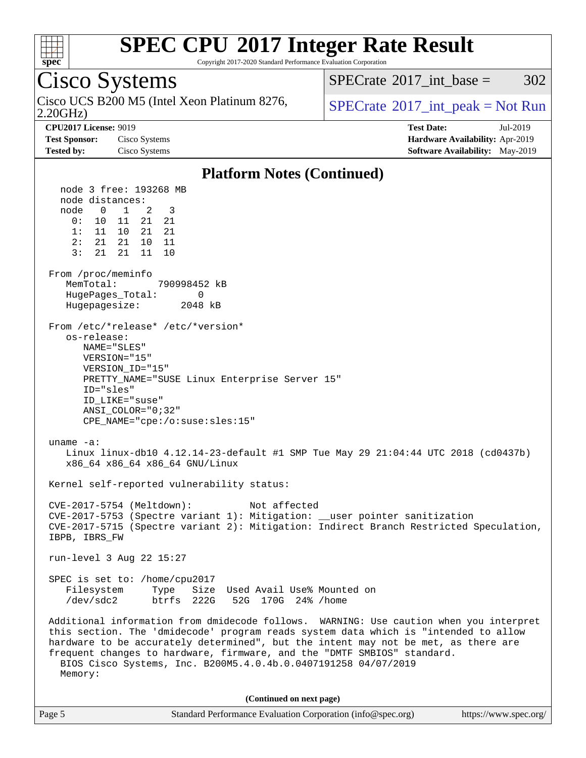

Copyright 2017-2020 Standard Performance Evaluation Corporation

#### Cisco Systems 2.20GHz) Cisco UCS B200 M5 (Intel Xeon Platinum 8276,  $SPECrate^{\circ}2017\_int\_peak = Not Run$  $SPECrate^{\circ}2017\_int\_peak = Not Run$ [SPECrate](http://www.spec.org/auto/cpu2017/Docs/result-fields.html#SPECrate2017intbase)<sup>®</sup>2017 int base =  $302$ **[CPU2017 License:](http://www.spec.org/auto/cpu2017/Docs/result-fields.html#CPU2017License)** 9019 **[Test Date:](http://www.spec.org/auto/cpu2017/Docs/result-fields.html#TestDate)** Jul-2019 **[Test Sponsor:](http://www.spec.org/auto/cpu2017/Docs/result-fields.html#TestSponsor)** Cisco Systems **[Hardware Availability:](http://www.spec.org/auto/cpu2017/Docs/result-fields.html#HardwareAvailability)** Apr-2019 **[Tested by:](http://www.spec.org/auto/cpu2017/Docs/result-fields.html#Testedby)** Cisco Systems **[Software Availability:](http://www.spec.org/auto/cpu2017/Docs/result-fields.html#SoftwareAvailability)** May-2019 **[Platform Notes \(Continued\)](http://www.spec.org/auto/cpu2017/Docs/result-fields.html#PlatformNotes)** node 3 free: 193268 MB node distances: node 0 1 2 3 0: 10 11 21 21 1: 11 10 21 21 2: 21 21 10 11 3: 21 21 11 10 From /proc/meminfo MemTotal: 790998452 kB HugePages\_Total: 0 Hugepagesize: 2048 kB From /etc/\*release\* /etc/\*version\* os-release: NAME="SLES" VERSION="15" VERSION\_ID="15" PRETTY\_NAME="SUSE Linux Enterprise Server 15" ID="sles" ID\_LIKE="suse" ANSI\_COLOR="0;32" CPE\_NAME="cpe:/o:suse:sles:15" uname -a: Linux linux-db10 4.12.14-23-default #1 SMP Tue May 29 21:04:44 UTC 2018 (cd0437b) x86\_64 x86\_64 x86\_64 GNU/Linux Kernel self-reported vulnerability status: CVE-2017-5754 (Meltdown): Not affected CVE-2017-5753 (Spectre variant 1): Mitigation: \_\_user pointer sanitization CVE-2017-5715 (Spectre variant 2): Mitigation: Indirect Branch Restricted Speculation, IBPB, IBRS\_FW run-level 3 Aug 22 15:27 SPEC is set to: /home/cpu2017 Filesystem Type Size Used Avail Use% Mounted on<br>
/dev/sdc2 btrfs 222G 52G 170G 24% /home /dev/sdc2 btrfs 222G 52G 170G 24% /home Additional information from dmidecode follows. WARNING: Use caution when you interpret this section. The 'dmidecode' program reads system data which is "intended to allow hardware to be accurately determined", but the intent may not be met, as there are frequent changes to hardware, firmware, and the "DMTF SMBIOS" standard. BIOS Cisco Systems, Inc. B200M5.4.0.4b.0.0407191258 04/07/2019 Memory: **(Continued on next page)**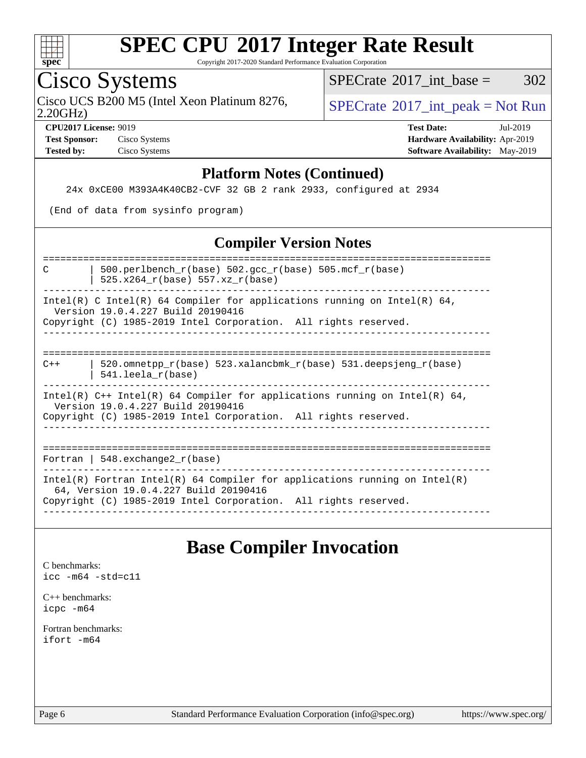

Copyright 2017-2020 Standard Performance Evaluation Corporation

# Cisco Systems

Cisco UCS B200 M5 (Intel Xeon Platinum 8276,  $SPECrate^{\circ}2017\_int\_peak = Not Run$  $SPECrate^{\circ}2017\_int\_peak = Not Run$ 

[SPECrate](http://www.spec.org/auto/cpu2017/Docs/result-fields.html#SPECrate2017intbase)<sup>®</sup>2017 int base =  $302$ 

2.20GHz)

**[Test Sponsor:](http://www.spec.org/auto/cpu2017/Docs/result-fields.html#TestSponsor)** Cisco Systems **[Hardware Availability:](http://www.spec.org/auto/cpu2017/Docs/result-fields.html#HardwareAvailability)** Apr-2019

**[CPU2017 License:](http://www.spec.org/auto/cpu2017/Docs/result-fields.html#CPU2017License)** 9019 **[Test Date:](http://www.spec.org/auto/cpu2017/Docs/result-fields.html#TestDate)** Jul-2019 **[Tested by:](http://www.spec.org/auto/cpu2017/Docs/result-fields.html#Testedby)** Cisco Systems **[Software Availability:](http://www.spec.org/auto/cpu2017/Docs/result-fields.html#SoftwareAvailability)** May-2019

#### **[Platform Notes \(Continued\)](http://www.spec.org/auto/cpu2017/Docs/result-fields.html#PlatformNotes)**

24x 0xCE00 M393A4K40CB2-CVF 32 GB 2 rank 2933, configured at 2934

(End of data from sysinfo program)

### **[Compiler Version Notes](http://www.spec.org/auto/cpu2017/Docs/result-fields.html#CompilerVersionNotes)**

============================================================================== C  $\vert$  500.perlbench\_r(base) 502.gcc\_r(base) 505.mcf\_r(base) | 525.x264\_r(base) 557.xz\_r(base)

------------------------------------------------------------------------------ Intel(R) C Intel(R) 64 Compiler for applications running on Intel(R)  $64$ ,

 Version 19.0.4.227 Build 20190416 Copyright (C) 1985-2019 Intel Corporation. All rights reserved.

------------------------------------------------------------------------------

#### ==============================================================================  $C++$  | 520.omnetpp\_r(base) 523.xalancbmk\_r(base) 531.deepsjeng\_r(base) | 541.leela\_r(base)

------------------------------------------------------------------------------ Intel(R)  $C++$  Intel(R) 64 Compiler for applications running on Intel(R) 64, Version 19.0.4.227 Build 20190416 Copyright (C) 1985-2019 Intel Corporation. All rights reserved.

------------------------------------------------------------------------------

==============================================================================

Fortran | 548.exchange2\_r(base)

------------------------------------------------------------------------------ Intel(R) Fortran Intel(R) 64 Compiler for applications running on Intel(R) 64, Version 19.0.4.227 Build 20190416 Copyright (C) 1985-2019 Intel Corporation. All rights reserved. ------------------------------------------------------------------------------

## **[Base Compiler Invocation](http://www.spec.org/auto/cpu2017/Docs/result-fields.html#BaseCompilerInvocation)**

[C benchmarks](http://www.spec.org/auto/cpu2017/Docs/result-fields.html#Cbenchmarks): [icc -m64 -std=c11](http://www.spec.org/cpu2017/results/res2019q3/cpu2017-20190903-17739.flags.html#user_CCbase_intel_icc_64bit_c11_33ee0cdaae7deeeab2a9725423ba97205ce30f63b9926c2519791662299b76a0318f32ddfffdc46587804de3178b4f9328c46fa7c2b0cd779d7a61945c91cd35)

[C++ benchmarks:](http://www.spec.org/auto/cpu2017/Docs/result-fields.html#CXXbenchmarks) [icpc -m64](http://www.spec.org/cpu2017/results/res2019q3/cpu2017-20190903-17739.flags.html#user_CXXbase_intel_icpc_64bit_4ecb2543ae3f1412ef961e0650ca070fec7b7afdcd6ed48761b84423119d1bf6bdf5cad15b44d48e7256388bc77273b966e5eb805aefd121eb22e9299b2ec9d9)

[Fortran benchmarks](http://www.spec.org/auto/cpu2017/Docs/result-fields.html#Fortranbenchmarks): [ifort -m64](http://www.spec.org/cpu2017/results/res2019q3/cpu2017-20190903-17739.flags.html#user_FCbase_intel_ifort_64bit_24f2bb282fbaeffd6157abe4f878425411749daecae9a33200eee2bee2fe76f3b89351d69a8130dd5949958ce389cf37ff59a95e7a40d588e8d3a57e0c3fd751)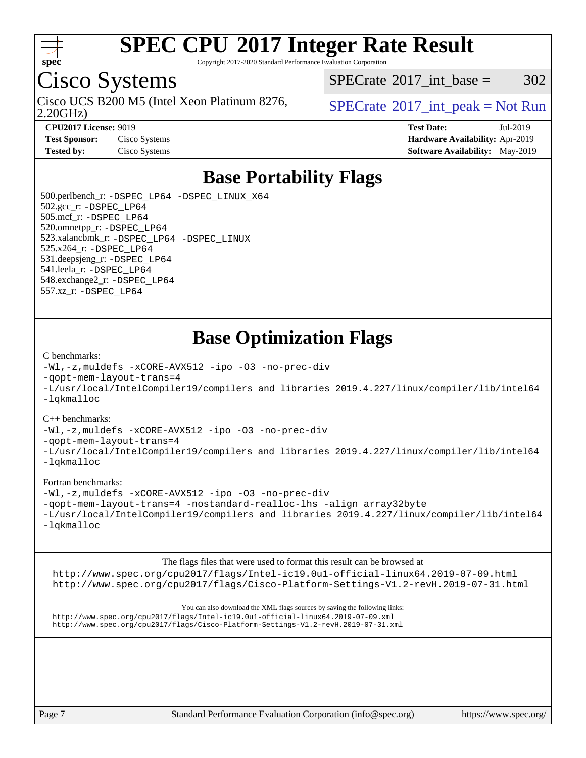

Copyright 2017-2020 Standard Performance Evaluation Corporation

# Cisco Systems

2.20GHz) Cisco UCS B200 M5 (Intel Xeon Platinum 8276,  $\vert$  [SPECrate](http://www.spec.org/auto/cpu2017/Docs/result-fields.html#SPECrate2017intpeak) <sup>®</sup>[2017\\_int\\_peak = N](http://www.spec.org/auto/cpu2017/Docs/result-fields.html#SPECrate2017intpeak)ot Run

[SPECrate](http://www.spec.org/auto/cpu2017/Docs/result-fields.html#SPECrate2017intbase)<sup>®</sup>2017 int base =  $302$ 

**[CPU2017 License:](http://www.spec.org/auto/cpu2017/Docs/result-fields.html#CPU2017License)** 9019 **[Test Date:](http://www.spec.org/auto/cpu2017/Docs/result-fields.html#TestDate)** Jul-2019 **[Test Sponsor:](http://www.spec.org/auto/cpu2017/Docs/result-fields.html#TestSponsor)** Cisco Systems **[Hardware Availability:](http://www.spec.org/auto/cpu2017/Docs/result-fields.html#HardwareAvailability)** Apr-2019 **[Tested by:](http://www.spec.org/auto/cpu2017/Docs/result-fields.html#Testedby)** Cisco Systems **[Software Availability:](http://www.spec.org/auto/cpu2017/Docs/result-fields.html#SoftwareAvailability)** May-2019

### **[Base Portability Flags](http://www.spec.org/auto/cpu2017/Docs/result-fields.html#BasePortabilityFlags)**

 500.perlbench\_r: [-DSPEC\\_LP64](http://www.spec.org/cpu2017/results/res2019q3/cpu2017-20190903-17739.flags.html#b500.perlbench_r_basePORTABILITY_DSPEC_LP64) [-DSPEC\\_LINUX\\_X64](http://www.spec.org/cpu2017/results/res2019q3/cpu2017-20190903-17739.flags.html#b500.perlbench_r_baseCPORTABILITY_DSPEC_LINUX_X64) 502.gcc\_r: [-DSPEC\\_LP64](http://www.spec.org/cpu2017/results/res2019q3/cpu2017-20190903-17739.flags.html#suite_basePORTABILITY502_gcc_r_DSPEC_LP64) 505.mcf\_r: [-DSPEC\\_LP64](http://www.spec.org/cpu2017/results/res2019q3/cpu2017-20190903-17739.flags.html#suite_basePORTABILITY505_mcf_r_DSPEC_LP64) 520.omnetpp\_r: [-DSPEC\\_LP64](http://www.spec.org/cpu2017/results/res2019q3/cpu2017-20190903-17739.flags.html#suite_basePORTABILITY520_omnetpp_r_DSPEC_LP64) 523.xalancbmk\_r: [-DSPEC\\_LP64](http://www.spec.org/cpu2017/results/res2019q3/cpu2017-20190903-17739.flags.html#suite_basePORTABILITY523_xalancbmk_r_DSPEC_LP64) [-DSPEC\\_LINUX](http://www.spec.org/cpu2017/results/res2019q3/cpu2017-20190903-17739.flags.html#b523.xalancbmk_r_baseCXXPORTABILITY_DSPEC_LINUX) 525.x264\_r: [-DSPEC\\_LP64](http://www.spec.org/cpu2017/results/res2019q3/cpu2017-20190903-17739.flags.html#suite_basePORTABILITY525_x264_r_DSPEC_LP64) 531.deepsjeng\_r: [-DSPEC\\_LP64](http://www.spec.org/cpu2017/results/res2019q3/cpu2017-20190903-17739.flags.html#suite_basePORTABILITY531_deepsjeng_r_DSPEC_LP64) 541.leela\_r: [-DSPEC\\_LP64](http://www.spec.org/cpu2017/results/res2019q3/cpu2017-20190903-17739.flags.html#suite_basePORTABILITY541_leela_r_DSPEC_LP64) 548.exchange2\_r: [-DSPEC\\_LP64](http://www.spec.org/cpu2017/results/res2019q3/cpu2017-20190903-17739.flags.html#suite_basePORTABILITY548_exchange2_r_DSPEC_LP64) 557.xz\_r: [-DSPEC\\_LP64](http://www.spec.org/cpu2017/results/res2019q3/cpu2017-20190903-17739.flags.html#suite_basePORTABILITY557_xz_r_DSPEC_LP64)

### **[Base Optimization Flags](http://www.spec.org/auto/cpu2017/Docs/result-fields.html#BaseOptimizationFlags)**

#### [C benchmarks](http://www.spec.org/auto/cpu2017/Docs/result-fields.html#Cbenchmarks):

[-Wl,-z,muldefs](http://www.spec.org/cpu2017/results/res2019q3/cpu2017-20190903-17739.flags.html#user_CCbase_link_force_multiple1_b4cbdb97b34bdee9ceefcfe54f4c8ea74255f0b02a4b23e853cdb0e18eb4525ac79b5a88067c842dd0ee6996c24547a27a4b99331201badda8798ef8a743f577) [-xCORE-AVX512](http://www.spec.org/cpu2017/results/res2019q3/cpu2017-20190903-17739.flags.html#user_CCbase_f-xCORE-AVX512) [-ipo](http://www.spec.org/cpu2017/results/res2019q3/cpu2017-20190903-17739.flags.html#user_CCbase_f-ipo) [-O3](http://www.spec.org/cpu2017/results/res2019q3/cpu2017-20190903-17739.flags.html#user_CCbase_f-O3) [-no-prec-div](http://www.spec.org/cpu2017/results/res2019q3/cpu2017-20190903-17739.flags.html#user_CCbase_f-no-prec-div) [-qopt-mem-layout-trans=4](http://www.spec.org/cpu2017/results/res2019q3/cpu2017-20190903-17739.flags.html#user_CCbase_f-qopt-mem-layout-trans_fa39e755916c150a61361b7846f310bcdf6f04e385ef281cadf3647acec3f0ae266d1a1d22d972a7087a248fd4e6ca390a3634700869573d231a252c784941a8) [-L/usr/local/IntelCompiler19/compilers\\_and\\_libraries\\_2019.4.227/linux/compiler/lib/intel64](http://www.spec.org/cpu2017/results/res2019q3/cpu2017-20190903-17739.flags.html#user_CCbase_qkmalloc_link_0ffe0cb02c68ef1b443a077c7888c10c67ca0d1dd7138472156f06a085bbad385f78d49618ad55dca9db3b1608e84afc2f69b4003b1d1ca498a9fc1462ccefda) [-lqkmalloc](http://www.spec.org/cpu2017/results/res2019q3/cpu2017-20190903-17739.flags.html#user_CCbase_qkmalloc_link_lib_79a818439969f771c6bc311cfd333c00fc099dad35c030f5aab9dda831713d2015205805422f83de8875488a2991c0a156aaa600e1f9138f8fc37004abc96dc5)

#### [C++ benchmarks](http://www.spec.org/auto/cpu2017/Docs/result-fields.html#CXXbenchmarks):

[-Wl,-z,muldefs](http://www.spec.org/cpu2017/results/res2019q3/cpu2017-20190903-17739.flags.html#user_CXXbase_link_force_multiple1_b4cbdb97b34bdee9ceefcfe54f4c8ea74255f0b02a4b23e853cdb0e18eb4525ac79b5a88067c842dd0ee6996c24547a27a4b99331201badda8798ef8a743f577) [-xCORE-AVX512](http://www.spec.org/cpu2017/results/res2019q3/cpu2017-20190903-17739.flags.html#user_CXXbase_f-xCORE-AVX512) [-ipo](http://www.spec.org/cpu2017/results/res2019q3/cpu2017-20190903-17739.flags.html#user_CXXbase_f-ipo) [-O3](http://www.spec.org/cpu2017/results/res2019q3/cpu2017-20190903-17739.flags.html#user_CXXbase_f-O3) [-no-prec-div](http://www.spec.org/cpu2017/results/res2019q3/cpu2017-20190903-17739.flags.html#user_CXXbase_f-no-prec-div)

[-qopt-mem-layout-trans=4](http://www.spec.org/cpu2017/results/res2019q3/cpu2017-20190903-17739.flags.html#user_CXXbase_f-qopt-mem-layout-trans_fa39e755916c150a61361b7846f310bcdf6f04e385ef281cadf3647acec3f0ae266d1a1d22d972a7087a248fd4e6ca390a3634700869573d231a252c784941a8)

[-L/usr/local/IntelCompiler19/compilers\\_and\\_libraries\\_2019.4.227/linux/compiler/lib/intel64](http://www.spec.org/cpu2017/results/res2019q3/cpu2017-20190903-17739.flags.html#user_CXXbase_qkmalloc_link_0ffe0cb02c68ef1b443a077c7888c10c67ca0d1dd7138472156f06a085bbad385f78d49618ad55dca9db3b1608e84afc2f69b4003b1d1ca498a9fc1462ccefda) [-lqkmalloc](http://www.spec.org/cpu2017/results/res2019q3/cpu2017-20190903-17739.flags.html#user_CXXbase_qkmalloc_link_lib_79a818439969f771c6bc311cfd333c00fc099dad35c030f5aab9dda831713d2015205805422f83de8875488a2991c0a156aaa600e1f9138f8fc37004abc96dc5)

#### [Fortran benchmarks](http://www.spec.org/auto/cpu2017/Docs/result-fields.html#Fortranbenchmarks):

[-Wl,-z,muldefs](http://www.spec.org/cpu2017/results/res2019q3/cpu2017-20190903-17739.flags.html#user_FCbase_link_force_multiple1_b4cbdb97b34bdee9ceefcfe54f4c8ea74255f0b02a4b23e853cdb0e18eb4525ac79b5a88067c842dd0ee6996c24547a27a4b99331201badda8798ef8a743f577) [-xCORE-AVX512](http://www.spec.org/cpu2017/results/res2019q3/cpu2017-20190903-17739.flags.html#user_FCbase_f-xCORE-AVX512) [-ipo](http://www.spec.org/cpu2017/results/res2019q3/cpu2017-20190903-17739.flags.html#user_FCbase_f-ipo) [-O3](http://www.spec.org/cpu2017/results/res2019q3/cpu2017-20190903-17739.flags.html#user_FCbase_f-O3) [-no-prec-div](http://www.spec.org/cpu2017/results/res2019q3/cpu2017-20190903-17739.flags.html#user_FCbase_f-no-prec-div) [-qopt-mem-layout-trans=4](http://www.spec.org/cpu2017/results/res2019q3/cpu2017-20190903-17739.flags.html#user_FCbase_f-qopt-mem-layout-trans_fa39e755916c150a61361b7846f310bcdf6f04e385ef281cadf3647acec3f0ae266d1a1d22d972a7087a248fd4e6ca390a3634700869573d231a252c784941a8) [-nostandard-realloc-lhs](http://www.spec.org/cpu2017/results/res2019q3/cpu2017-20190903-17739.flags.html#user_FCbase_f_2003_std_realloc_82b4557e90729c0f113870c07e44d33d6f5a304b4f63d4c15d2d0f1fab99f5daaed73bdb9275d9ae411527f28b936061aa8b9c8f2d63842963b95c9dd6426b8a) [-align array32byte](http://www.spec.org/cpu2017/results/res2019q3/cpu2017-20190903-17739.flags.html#user_FCbase_align_array32byte_b982fe038af199962ba9a80c053b8342c548c85b40b8e86eb3cc33dee0d7986a4af373ac2d51c3f7cf710a18d62fdce2948f201cd044323541f22fc0fffc51b6) [-L/usr/local/IntelCompiler19/compilers\\_and\\_libraries\\_2019.4.227/linux/compiler/lib/intel64](http://www.spec.org/cpu2017/results/res2019q3/cpu2017-20190903-17739.flags.html#user_FCbase_qkmalloc_link_0ffe0cb02c68ef1b443a077c7888c10c67ca0d1dd7138472156f06a085bbad385f78d49618ad55dca9db3b1608e84afc2f69b4003b1d1ca498a9fc1462ccefda) [-lqkmalloc](http://www.spec.org/cpu2017/results/res2019q3/cpu2017-20190903-17739.flags.html#user_FCbase_qkmalloc_link_lib_79a818439969f771c6bc311cfd333c00fc099dad35c030f5aab9dda831713d2015205805422f83de8875488a2991c0a156aaa600e1f9138f8fc37004abc96dc5)

[The flags files that were used to format this result can be browsed at](tmsearch)

<http://www.spec.org/cpu2017/flags/Intel-ic19.0u1-official-linux64.2019-07-09.html> <http://www.spec.org/cpu2017/flags/Cisco-Platform-Settings-V1.2-revH.2019-07-31.html>

[You can also download the XML flags sources by saving the following links:](tmsearch) <http://www.spec.org/cpu2017/flags/Intel-ic19.0u1-official-linux64.2019-07-09.xml> <http://www.spec.org/cpu2017/flags/Cisco-Platform-Settings-V1.2-revH.2019-07-31.xml>